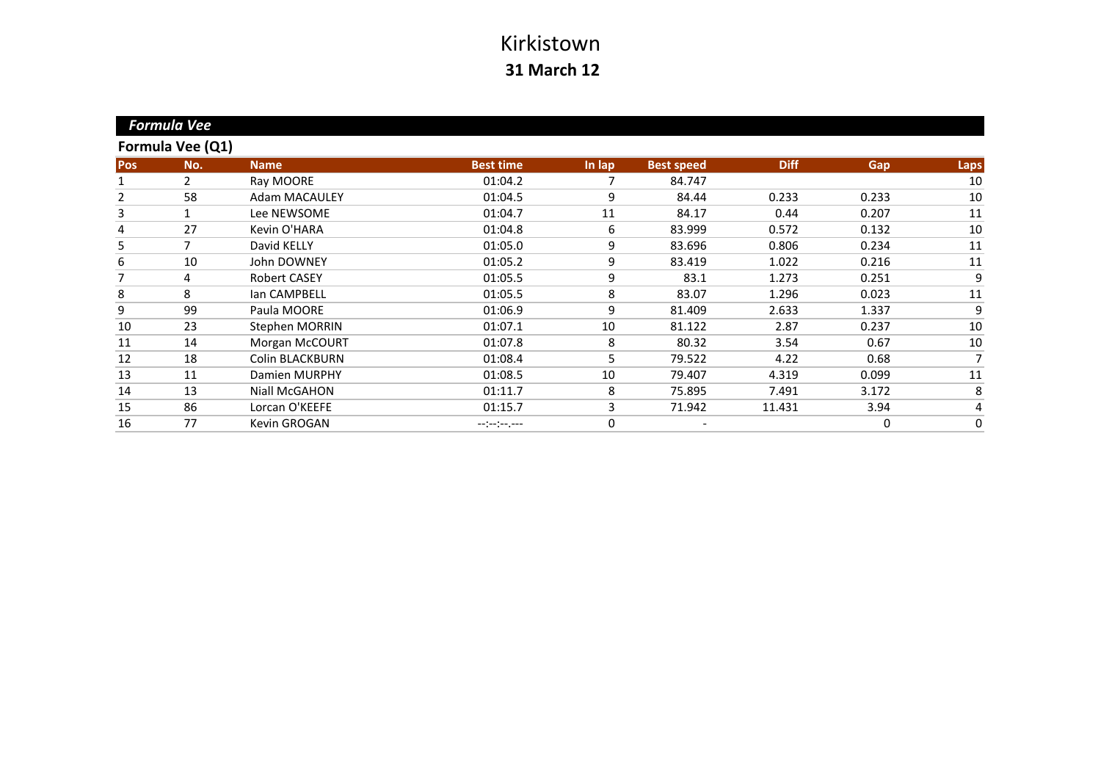|                | <b>Formula Vee</b> |                        |                  |        |                   |             |       |      |
|----------------|--------------------|------------------------|------------------|--------|-------------------|-------------|-------|------|
|                | Formula Vee (Q1)   |                        |                  |        |                   |             |       |      |
| Pos            | No.                | <b>Name</b>            | <b>Best time</b> | In lap | <b>Best speed</b> | <b>Diff</b> | Gap   | Laps |
|                | $\overline{2}$     | Ray MOORE              | 01:04.2          |        | 84.747            |             |       | 10   |
| $\overline{2}$ | 58                 | Adam MACAULEY          | 01:04.5          | 9      | 84.44             | 0.233       | 0.233 | 10   |
| 3              |                    | Lee NEWSOME            | 01:04.7          | 11     | 84.17             | 0.44        | 0.207 | 11   |
| 4              | 27                 | Kevin O'HARA           | 01:04.8          | 6      | 83.999            | 0.572       | 0.132 | 10   |
| 5              | 7                  | David KELLY            | 01:05.0          | 9      | 83.696            | 0.806       | 0.234 | 11   |
| 6              | 10                 | <b>John DOWNEY</b>     | 01:05.2          | 9      | 83.419            | 1.022       | 0.216 | 11   |
| 7              | 4                  | <b>Robert CASEY</b>    | 01:05.5          | 9      | 83.1              | 1.273       | 0.251 | 9    |
| 8              | 8                  | lan CAMPBELL           | 01:05.5          | 8      | 83.07             | 1.296       | 0.023 | 11   |
| 9              | 99                 | Paula MOORE            | 01:06.9          | 9      | 81.409            | 2.633       | 1.337 | 9    |
| 10             | 23                 | Stephen MORRIN         | 01:07.1          | 10     | 81.122            | 2.87        | 0.237 | 10   |
| 11             | 14                 | Morgan McCOURT         | 01:07.8          | 8      | 80.32             | 3.54        | 0.67  | 10   |
| 12             | 18                 | <b>Colin BLACKBURN</b> | 01:08.4          | 5      | 79.522            | 4.22        | 0.68  | 7    |
| 13             | 11                 | Damien MURPHY          | 01:08.5          | 10     | 79.407            | 4.319       | 0.099 | 11   |
| 14             | 13                 | Niall McGAHON          | 01:11.7          | 8      | 75.895            | 7.491       | 3.172 | 8    |
| 15             | 86                 | Lorcan O'KEEFE         | 01:15.7          | 3      | 71.942            | 11.431      | 3.94  | 4    |
| 16             | 77                 | Kevin GROGAN           | --:-:----        | 0      |                   |             | 0     | 0    |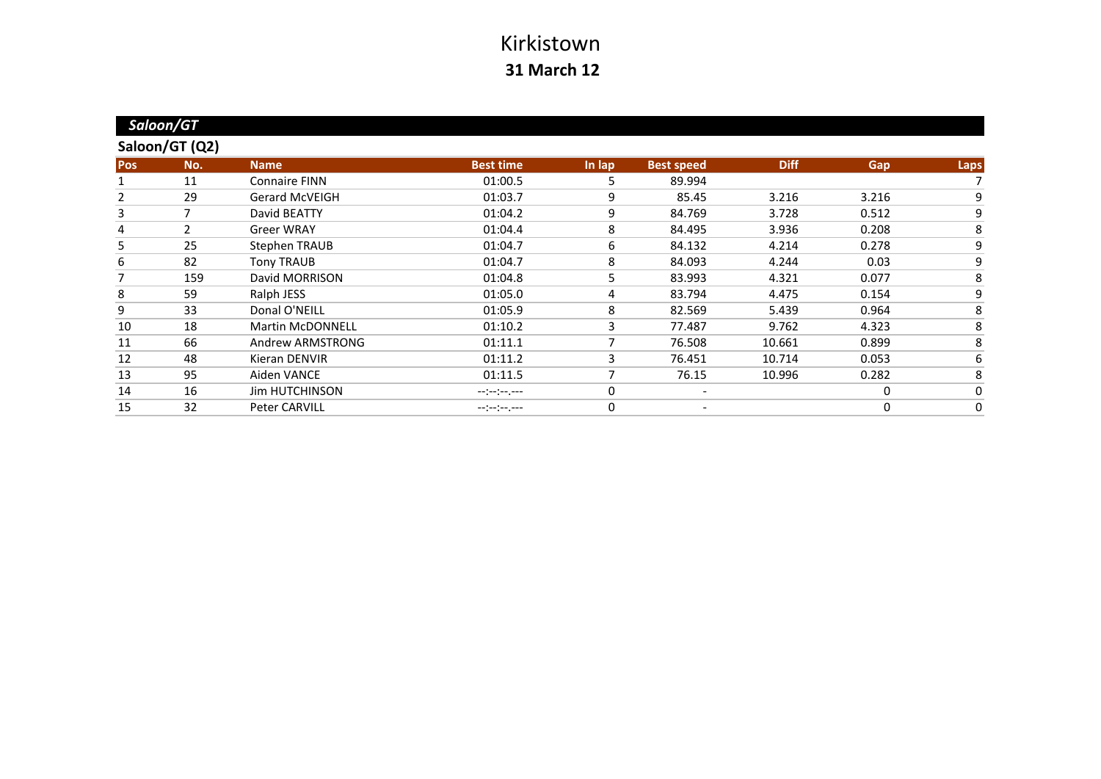|            | Saloon/GT      |                         |                  |        |                   |             |       |             |
|------------|----------------|-------------------------|------------------|--------|-------------------|-------------|-------|-------------|
|            | Saloon/GT (Q2) |                         |                  |        |                   |             |       |             |
| <b>Pos</b> | No.            | <b>Name</b>             | <b>Best time</b> | In lap | <b>Best speed</b> | <b>Diff</b> | Gap   | Laps        |
|            | 11             | <b>Connaire FINN</b>    | 01:00.5          | 5      | 89.994            |             |       |             |
| 2          | 29             | <b>Gerard McVEIGH</b>   | 01:03.7          | 9      | 85.45             | 3.216       | 3.216 | 9           |
| 3          | 7              | David BEATTY            | 01:04.2          | 9      | 84.769            | 3.728       | 0.512 | 9           |
| 4          | $\mathcal{L}$  | <b>Greer WRAY</b>       | 01:04.4          | 8      | 84.495            | 3.936       | 0.208 | 8           |
| 5          | 25             | <b>Stephen TRAUB</b>    | 01:04.7          | 6      | 84.132            | 4.214       | 0.278 | 9           |
| 6          | 82             | <b>Tony TRAUB</b>       | 01:04.7          | 8      | 84.093            | 4.244       | 0.03  | 9           |
| 7          | 159            | David MORRISON          | 01:04.8          | 5      | 83.993            | 4.321       | 0.077 | 8           |
| 8          | 59             | Ralph JESS              | 01:05.0          | 4      | 83.794            | 4.475       | 0.154 | 9           |
| 9          | 33             | Donal O'NEILL           | 01:05.9          | 8      | 82.569            | 5.439       | 0.964 | 8           |
| 10         | 18             | <b>Martin McDONNELL</b> | 01:10.2          | 3      | 77.487            | 9.762       | 4.323 | 8           |
| 11         | 66             | Andrew ARMSTRONG        | 01:11.1          |        | 76.508            | 10.661      | 0.899 | 8           |
| 12         | 48             | Kieran DENVIR           | 01:11.2          | 3      | 76.451            | 10.714      | 0.053 | 6           |
| 13         | 95             | Aiden VANCE             | 01:11.5          | 7      | 76.15             | 10.996      | 0.282 | 8           |
| 14         | 16             | <b>Jim HUTCHINSON</b>   | $-(-1)^{n-1}$    | 0      |                   |             | 0     | $\mathbf 0$ |
| 15         | 32             | Peter CARVILL           | --:-:----        | 0      |                   |             | 0     | $\mathbf 0$ |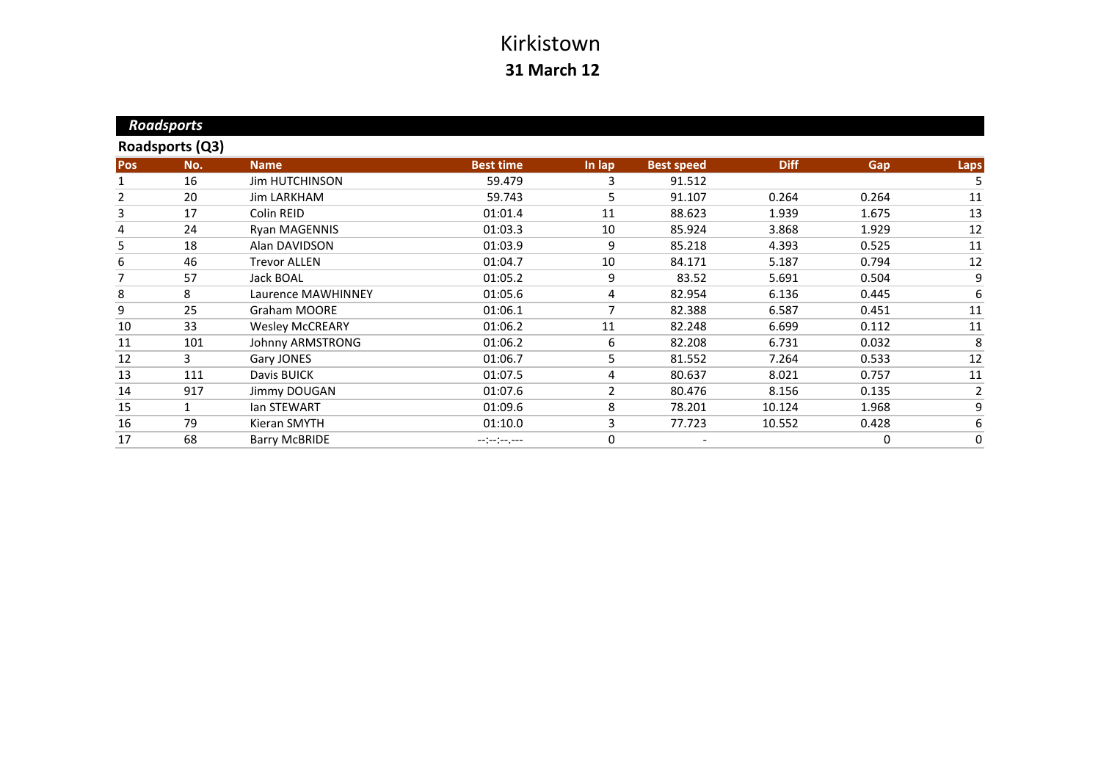| <b>Roadsports</b> |                        |                  |        |                   |             |       |                |
|-------------------|------------------------|------------------|--------|-------------------|-------------|-------|----------------|
|                   |                        |                  |        |                   |             |       |                |
| No.               | <b>Name</b>            | <b>Best time</b> | In lap | <b>Best speed</b> | <b>Diff</b> | Gap   | <b>Laps</b>    |
| 16                | <b>Jim HUTCHINSON</b>  | 59.479           | 3      | 91.512            |             |       | 5              |
| 20                | Jim LARKHAM            | 59.743           | 5      | 91.107            | 0.264       | 0.264 | 11             |
| 17                | Colin REID             | 01:01.4          | 11     | 88.623            | 1.939       | 1.675 | 13             |
| 24                | Ryan MAGENNIS          | 01:03.3          | 10     | 85.924            | 3.868       | 1.929 | 12             |
| 18                | Alan DAVIDSON          | 01:03.9          | 9      | 85.218            | 4.393       | 0.525 | 11             |
| 46                | <b>Trevor ALLEN</b>    | 01:04.7          | 10     | 84.171            | 5.187       | 0.794 | 12             |
| 57                | Jack BOAL              | 01:05.2          | 9      | 83.52             | 5.691       | 0.504 | 9              |
| 8                 | Laurence MAWHINNEY     | 01:05.6          | 4      | 82.954            | 6.136       | 0.445 | 6              |
| 25                | Graham MOORE           | 01:06.1          |        | 82.388            | 6.587       | 0.451 | 11             |
| 33                | <b>Wesley McCREARY</b> | 01:06.2          | 11     | 82.248            | 6.699       | 0.112 | 11             |
| 101               | Johnny ARMSTRONG       | 01:06.2          | 6      | 82.208            | 6.731       | 0.032 | 8              |
| 3                 | Gary JONES             | 01:06.7          | 5      | 81.552            | 7.264       | 0.533 | 12             |
| 111               | Davis BUICK            | 01:07.5          | 4      | 80.637            | 8.021       | 0.757 | 11             |
| 917               | Jimmy DOUGAN           | 01:07.6          | 2      | 80.476            | 8.156       | 0.135 | $\overline{2}$ |
|                   | lan STEWART            | 01:09.6          | 8      | 78.201            | 10.124      | 1.968 | 9              |
| 79                | Kieran SMYTH           | 01:10.0          | 3      | 77.723            | 10.552      | 0.428 | 6              |
| 68                | <b>Barry McBRIDE</b>   | --:--:--.--      | 0      |                   |             | 0     | 0              |
|                   |                        | Roadsports (Q3)  |        |                   |             |       |                |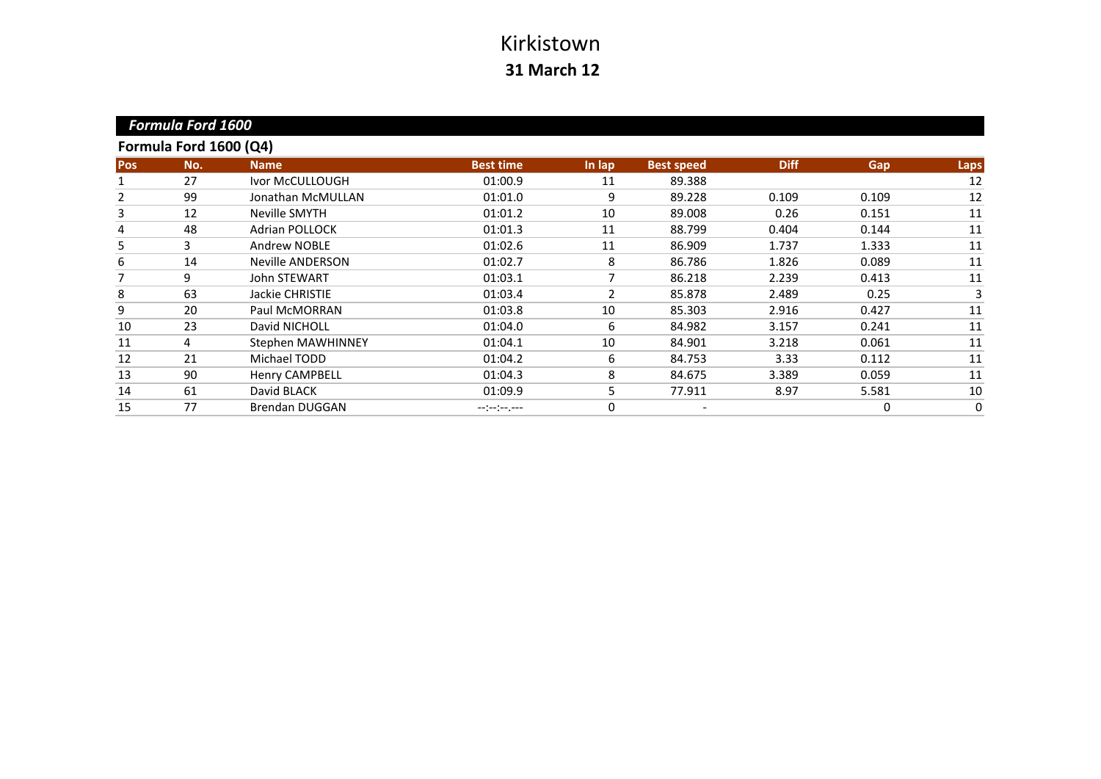|            | <b>Formula Ford 1600</b> |                       |                  |                          |                   |             |       |             |
|------------|--------------------------|-----------------------|------------------|--------------------------|-------------------|-------------|-------|-------------|
|            | Formula Ford 1600 (Q4)   |                       |                  |                          |                   |             |       |             |
| <b>Pos</b> | No.                      | <b>Name</b>           | <b>Best time</b> | In lap                   | <b>Best speed</b> | <b>Diff</b> | Gap   | Laps        |
|            | 27                       | Ivor McCULLOUGH       | 01:00.9          | 11                       | 89.388            |             |       | 12          |
| 2          | 99                       | Jonathan McMULLAN     | 01:01.0          | 9                        | 89.228            | 0.109       | 0.109 | 12          |
| 3          | 12                       | Neville SMYTH         | 01:01.2          | 10                       | 89.008            | 0.26        | 0.151 | 11          |
| 4          | 48                       | <b>Adrian POLLOCK</b> | 01:01.3          | 11                       | 88.799            | 0.404       | 0.144 | 11          |
| 5          | 3                        | <b>Andrew NOBLE</b>   | 01:02.6          | 11                       | 86.909            | 1.737       | 1.333 | 11          |
| 6          | 14                       | Neville ANDERSON      | 01:02.7          | 8                        | 86.786            | 1.826       | 0.089 | 11          |
| 7          | 9                        | <b>John STEWART</b>   | 01:03.1          |                          | 86.218            | 2.239       | 0.413 | 11          |
| 8          | 63                       | Jackie CHRISTIE       | 01:03.4          | $\overline{\phantom{a}}$ | 85.878            | 2.489       | 0.25  | 3           |
| 9          | 20                       | Paul McMORRAN         | 01:03.8          | 10                       | 85.303            | 2.916       | 0.427 | 11          |
| 10         | 23                       | David NICHOLL         | 01:04.0          | 6                        | 84.982            | 3.157       | 0.241 | 11          |
| 11         | 4                        | Stephen MAWHINNEY     | 01:04.1          | 10                       | 84.901            | 3.218       | 0.061 | 11          |
| 12         | 21                       | Michael TODD          | 01:04.2          | 6                        | 84.753            | 3.33        | 0.112 | 11          |
| 13         | 90                       | Henry CAMPBELL        | 01:04.3          | 8                        | 84.675            | 3.389       | 0.059 | 11          |
| 14         | 61                       | David BLACK           | 01:09.9          | 5                        | 77.911            | 8.97        | 5.581 | 10          |
| 15         | 77                       | <b>Brendan DUGGAN</b> | --:-:----        | 0                        |                   |             | 0     | $\mathbf 0$ |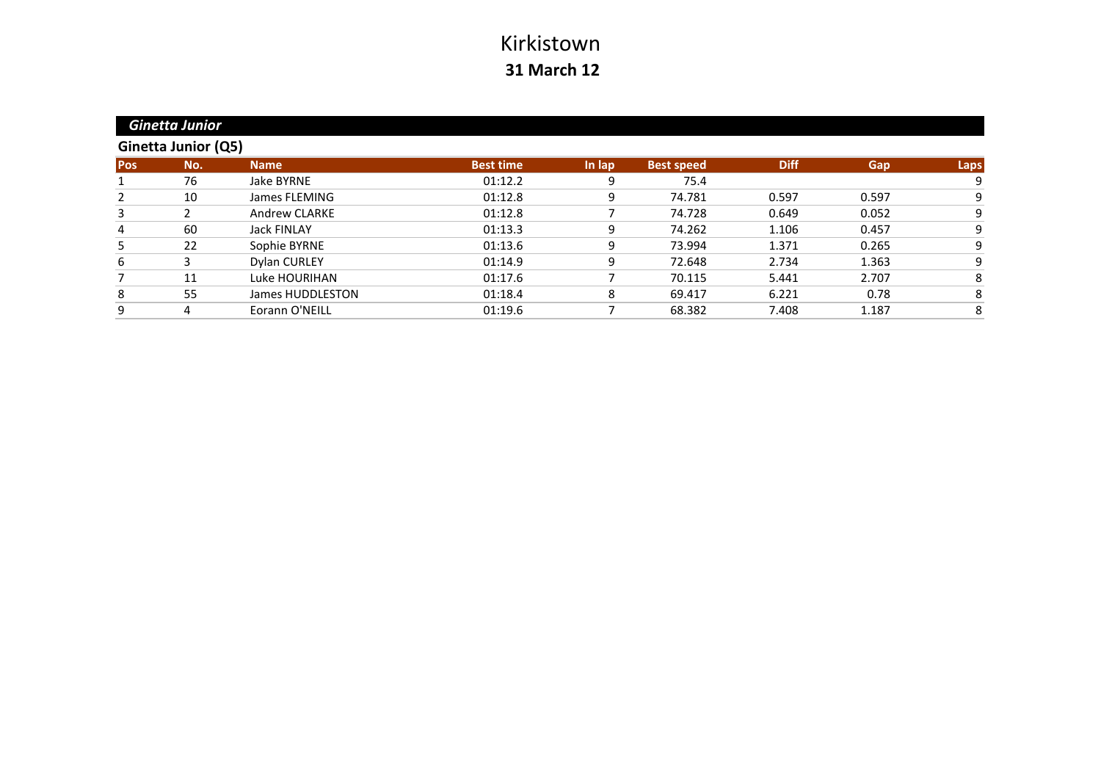|            | <b>Ginetta Junior</b> |                      |                  |        |                   |             |       |      |
|------------|-----------------------|----------------------|------------------|--------|-------------------|-------------|-------|------|
|            | Ginetta Junior (Q5)   |                      |                  |        |                   |             |       |      |
| <b>Pos</b> | No.                   | <b>Name</b>          | <b>Best time</b> | In lap | <b>Best speed</b> | <b>Diff</b> | Gap   | Laps |
|            | 76                    | Jake BYRNE           | 01:12.2          | 9      | 75.4              |             |       | 9    |
| 2          | 10                    | James FLEMING        | 01:12.8          | 9      | 74.781            | 0.597       | 0.597 | 9    |
| 3          |                       | <b>Andrew CLARKE</b> | 01:12.8          |        | 74.728            | 0.649       | 0.052 | 9    |
| 4          | 60                    | <b>Jack FINLAY</b>   | 01:13.3          | 9      | 74.262            | 1.106       | 0.457 | 9    |
| 5          | 22                    | Sophie BYRNE         | 01:13.6          | 9      | 73.994            | 1.371       | 0.265 | 9    |
| 6          | 3                     | Dylan CURLEY         | 01:14.9          | 9      | 72.648            | 2.734       | 1.363 | 9    |
|            | 11                    | Luke HOURIHAN        | 01:17.6          |        | 70.115            | 5.441       | 2.707 | 8    |
| 8          | 55                    | James HUDDLESTON     | 01:18.4          | 8      | 69.417            | 6.221       | 0.78  | 8    |
| 9          |                       | Eorann O'NEILL       | 01:19.6          |        | 68.382            | 7.408       | 1.187 | 8    |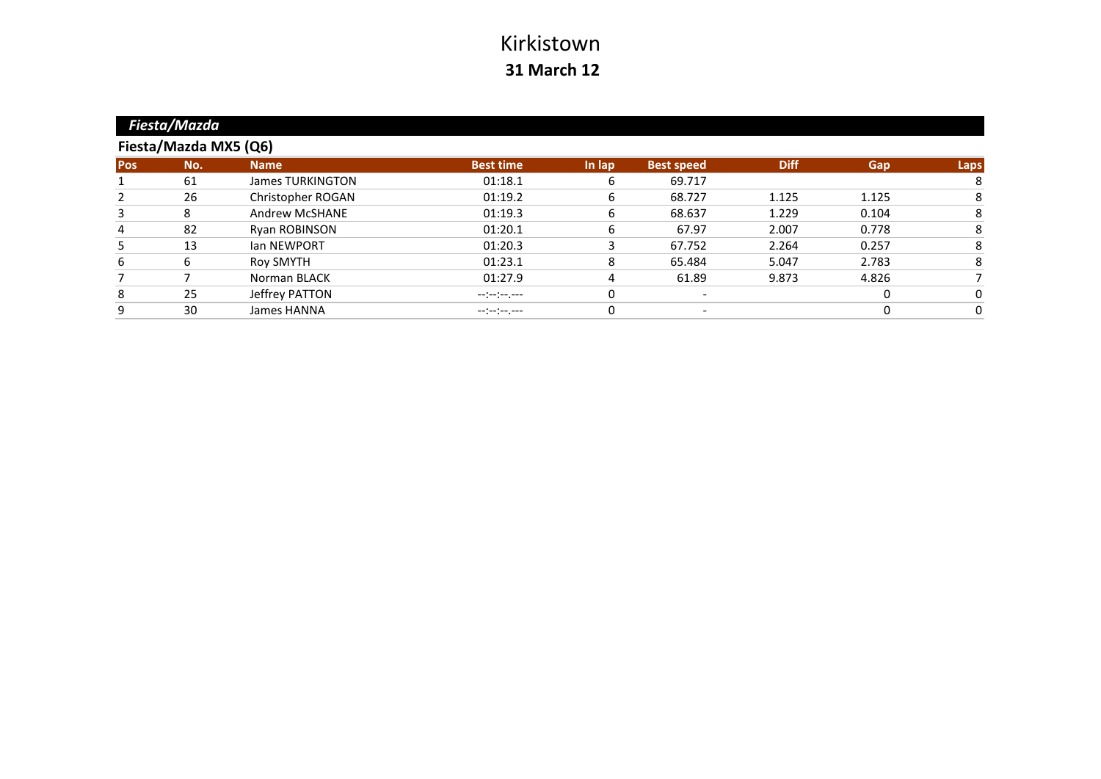|            | Fiesta/Mazda          |                         |                  |        |                          |             |       |          |  |  |  |  |
|------------|-----------------------|-------------------------|------------------|--------|--------------------------|-------------|-------|----------|--|--|--|--|
|            | Fiesta/Mazda MX5 (Q6) |                         |                  |        |                          |             |       |          |  |  |  |  |
| <b>Pos</b> | No.                   | <b>Name</b>             | <b>Best time</b> | In lap | <b>Best speed</b>        | <b>Diff</b> | Gap   | Laps     |  |  |  |  |
|            | 61                    | <b>James TURKINGTON</b> | 01:18.1          | 6      | 69.717                   |             |       | 8        |  |  |  |  |
| 2          | 26                    | Christopher ROGAN       | 01:19.2          | 6      | 68.727                   | 1.125       | 1.125 | 8        |  |  |  |  |
| 3          | 8                     | <b>Andrew McSHANE</b>   | 01:19.3          | 6      | 68.637                   | 1.229       | 0.104 | 8        |  |  |  |  |
| 4          | 82                    | Ryan ROBINSON           | 01:20.1          | 6      | 67.97                    | 2.007       | 0.778 |          |  |  |  |  |
| 5          | 13                    | <b>Ian NEWPORT</b>      | 01:20.3          |        | 67.752                   | 2.264       | 0.257 |          |  |  |  |  |
| 6          | 6                     | <b>Roy SMYTH</b>        | 01:23.1          | 8      | 65.484                   | 5.047       | 2.783 | 8        |  |  |  |  |
|            |                       | Norman BLACK            | 01:27.9          | 4      | 61.89                    | 9.873       | 4.826 |          |  |  |  |  |
| 8          | 25                    | Jeffrey PATTON          |                  | 0      | $\overline{\phantom{0}}$ |             | 0     | $\Omega$ |  |  |  |  |
| 9          | 30                    | James HANNA             | --:--:--.--      | 0      |                          |             |       | 0        |  |  |  |  |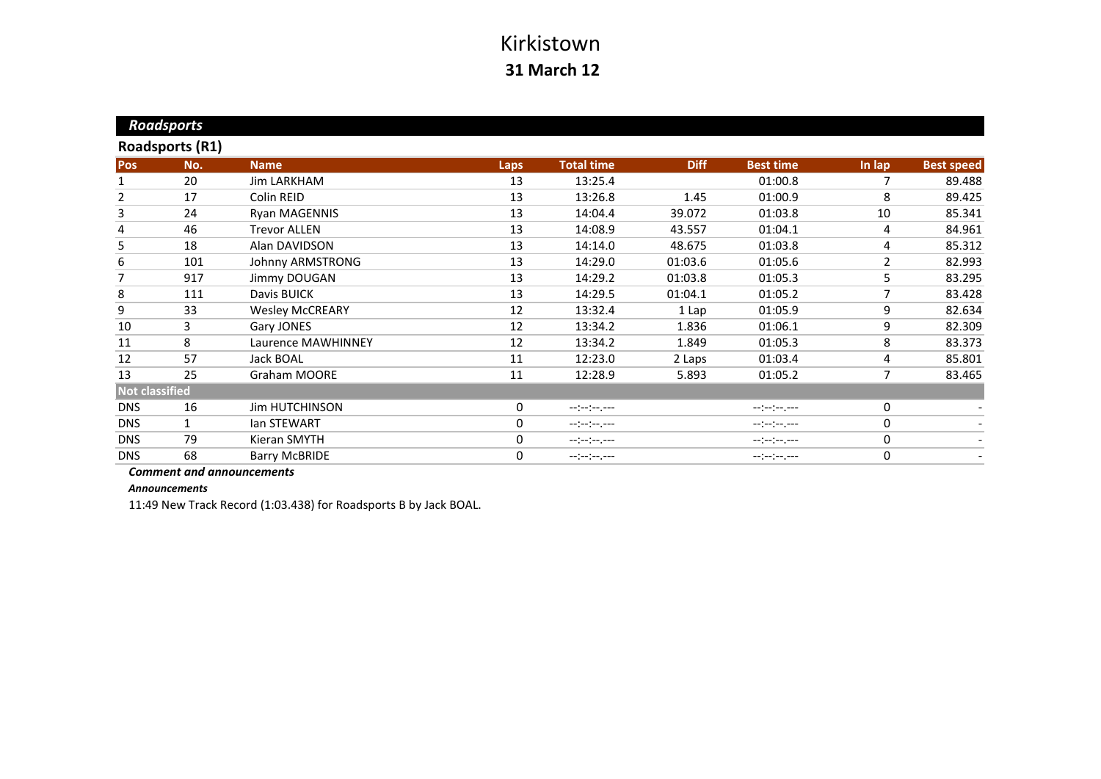|                       | <b>Roadsports</b>      |                        |             |                   |             |                  |                |                          |
|-----------------------|------------------------|------------------------|-------------|-------------------|-------------|------------------|----------------|--------------------------|
|                       | <b>Roadsports (R1)</b> |                        |             |                   |             |                  |                |                          |
| <b>Pos</b>            | No.                    | <b>Name</b>            | <b>Laps</b> | <b>Total time</b> | <b>Diff</b> | <b>Best time</b> | In lap         | <b>Best speed</b>        |
| 1                     | 20                     | <b>Jim LARKHAM</b>     | 13          | 13:25.4           |             | 01:00.8          | 7              | 89.488                   |
| 2                     | 17                     | Colin REID             | 13          | 13:26.8           | 1.45        | 01:00.9          | 8              | 89.425                   |
| 3                     | 24                     | Ryan MAGENNIS          | 13          | 14:04.4           | 39.072      | 01:03.8          | 10             | 85.341                   |
| 4                     | 46                     | <b>Trevor ALLEN</b>    | 13          | 14:08.9           | 43.557      | 01:04.1          | 4              | 84.961                   |
| 5                     | 18                     | Alan DAVIDSON          | 13          | 14:14.0           | 48.675      | 01:03.8          | 4              | 85.312                   |
| 6                     | 101                    | Johnny ARMSTRONG       | 13          | 14:29.0           | 01:03.6     | 01:05.6          | $\overline{2}$ | 82.993                   |
| 7                     | 917                    | Jimmy DOUGAN           | 13          | 14:29.2           | 01:03.8     | 01:05.3          | 5              | 83.295                   |
| 8                     | 111                    | Davis BUICK            | 13          | 14:29.5           | 01:04.1     | 01:05.2          | 7              | 83.428                   |
| 9                     | 33                     | <b>Wesley McCREARY</b> | 12          | 13:32.4           | 1 Lap       | 01:05.9          | 9              | 82.634                   |
| 10                    | 3                      | Gary JONES             | 12          | 13:34.2           | 1.836       | 01:06.1          | 9              | 82.309                   |
| 11                    | 8                      | Laurence MAWHINNEY     | 12          | 13:34.2           | 1.849       | 01:05.3          | 8              | 83.373                   |
| 12                    | 57                     | Jack BOAL              | 11          | 12:23.0           | 2 Laps      | 01:03.4          | 4              | 85.801                   |
| 13                    | 25                     | <b>Graham MOORE</b>    | 11          | 12:28.9           | 5.893       | 01:05.2          | 7              | 83.465                   |
| <b>Not classified</b> |                        |                        |             |                   |             |                  |                |                          |
| <b>DNS</b>            | 16                     | <b>Jim HUTCHINSON</b>  | $\mathbf 0$ | --:--:--.--       |             | $-1(-1)^{n-1}$   | 0              |                          |
| <b>DNS</b>            | $\mathbf{1}$           | lan STEWART            | $\mathbf 0$ |                   |             |                  | 0              | $\overline{\phantom{a}}$ |
| <b>DNS</b>            | 79                     | Kieran SMYTH           | $\mathbf 0$ |                   |             | $-(-1)^{n-1}$    | 0              | $\overline{\phantom{0}}$ |
| <b>DNS</b>            | 68                     | <b>Barry McBRIDE</b>   | 0           |                   |             | --:-:----        | $\pmb{0}$      |                          |

*Comment and announcements*

*Announcements*

11:49 New Track Record (1:03.438) for Roadsports B by Jack BOAL.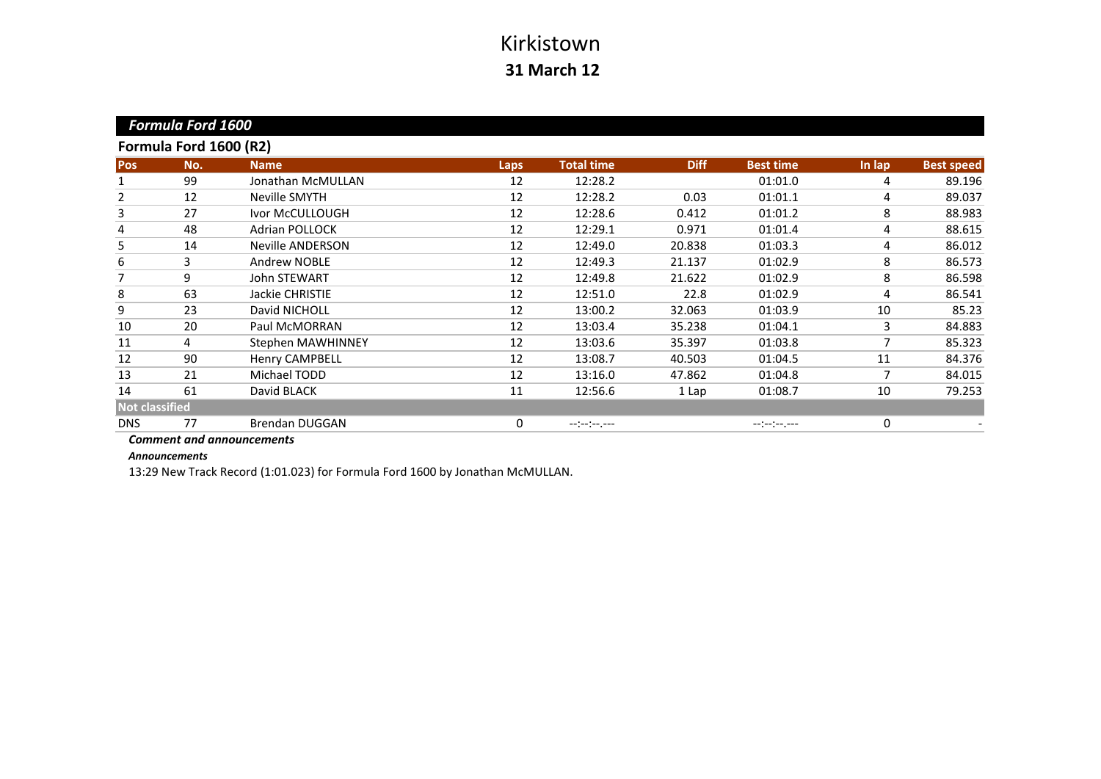|                       | <b>Formula Ford 1600</b> |                         |      |                   |             |                                  |        |                   |
|-----------------------|--------------------------|-------------------------|------|-------------------|-------------|----------------------------------|--------|-------------------|
|                       | Formula Ford 1600 (R2)   |                         |      |                   |             |                                  |        |                   |
| <b>Pos</b>            | No.                      | <b>Name</b>             | Laps | <b>Total time</b> | <b>Diff</b> | <b>Best time</b>                 | In lap | <b>Best speed</b> |
|                       | 99                       | Jonathan McMULLAN       | 12   | 12:28.2           |             | 01:01.0                          | 4      | 89.196            |
| 2                     | 12                       | Neville SMYTH           | 12   | 12:28.2           | 0.03        | 01:01.1                          | 4      | 89.037            |
| 3                     | 27                       | Ivor McCULLOUGH         | 12   | 12:28.6           | 0.412       | 01:01.2                          | 8      | 88.983            |
| 4                     | 48                       | <b>Adrian POLLOCK</b>   | 12   | 12:29.1           | 0.971       | 01:01.4                          | 4      | 88.615            |
| 5                     | 14                       | <b>Neville ANDERSON</b> | 12   | 12:49.0           | 20.838      | 01:03.3                          | 4      | 86.012            |
| 6                     | 3                        | <b>Andrew NOBLE</b>     | 12   | 12:49.3           | 21.137      | 01:02.9                          | 8      | 86.573            |
| 7                     | 9                        | John STEWART            | 12   | 12:49.8           | 21.622      | 01:02.9                          | 8      | 86.598            |
| 8                     | 63                       | Jackie CHRISTIE         | 12   | 12:51.0           | 22.8        | 01:02.9                          | 4      | 86.541            |
| 9                     | 23                       | David NICHOLL           | 12   | 13:00.2           | 32.063      | 01:03.9                          | 10     | 85.23             |
| 10                    | 20                       | Paul McMORRAN           | 12   | 13:03.4           | 35.238      | 01:04.1                          | 3      | 84.883            |
| 11                    | 4                        | Stephen MAWHINNEY       | 12   | 13:03.6           | 35.397      | 01:03.8                          | 7      | 85.323            |
| 12                    | 90                       | <b>Henry CAMPBELL</b>   | 12   | 13:08.7           | 40.503      | 01:04.5                          | 11     | 84.376            |
| 13                    | 21                       | Michael TODD            | 12   | 13:16.0           | 47.862      | 01:04.8                          | 7      | 84.015            |
| 14                    | 61                       | David BLACK             | 11   | 12:56.6           | 1 Lap       | 01:08.7                          | 10     | 79.253            |
| <b>Not classified</b> |                          |                         |      |                   |             |                                  |        |                   |
| <b>DNS</b>            | 77                       | <b>Brendan DUGGAN</b>   | 0    | --:-:----         |             | $-1$ , $-1$ , $-1$ , $-1$ , $-1$ | 0      |                   |
|                       |                          |                         |      |                   |             |                                  |        |                   |

*Comment and announcements*

*Announcements*

13:29 New Track Record (1:01.023) for Formula Ford 1600 by Jonathan McMULLAN.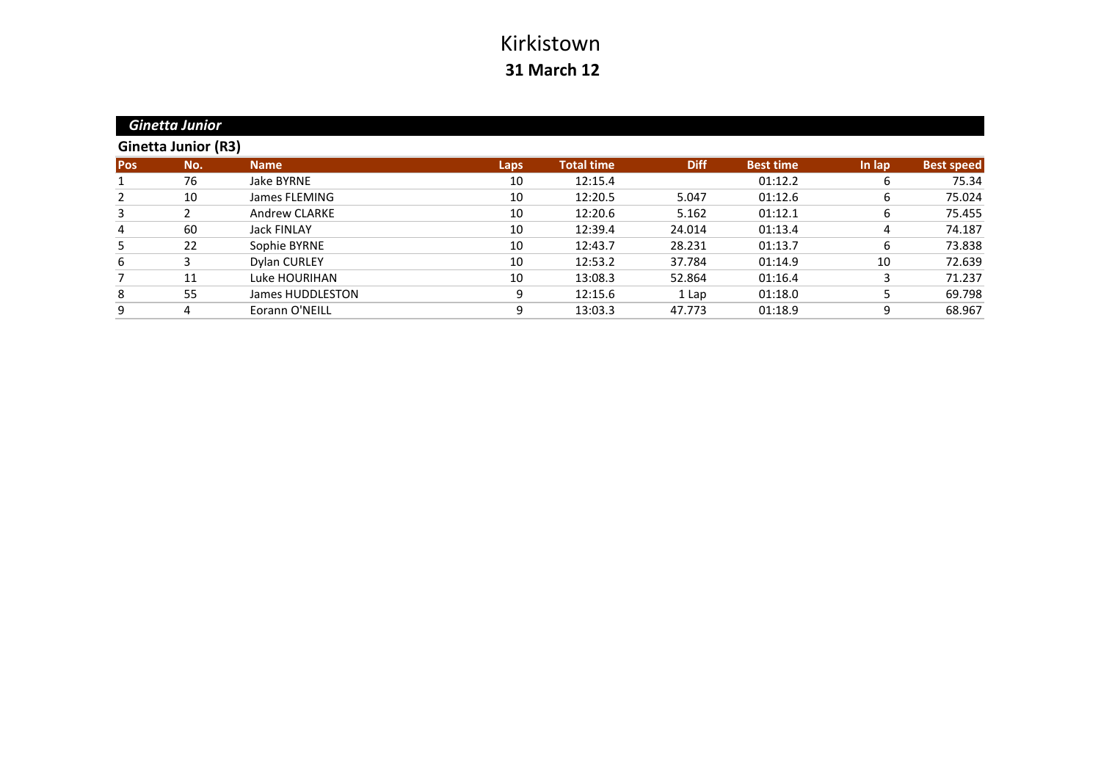|            | <b>Ginetta Junior</b>      |                      |      |                   |             |                  |        |                   |
|------------|----------------------------|----------------------|------|-------------------|-------------|------------------|--------|-------------------|
|            | <b>Ginetta Junior (R3)</b> |                      |      |                   |             |                  |        |                   |
| <b>Pos</b> | No.                        | <b>Name</b>          | Laps | <b>Total time</b> | <b>Diff</b> | <b>Best time</b> | In lap | <b>Best speed</b> |
|            | 76                         | Jake BYRNE           | 10   | 12:15.4           |             | 01:12.2          | 6      | 75.34             |
| 2          | 10                         | James FLEMING        | 10   | 12:20.5           | 5.047       | 01:12.6          | 6      | 75.024            |
| 3          |                            | <b>Andrew CLARKE</b> | 10   | 12:20.6           | 5.162       | 01:12.1          | 6      | 75.455            |
| 4          | 60                         | <b>Jack FINLAY</b>   | 10   | 12:39.4           | 24.014      | 01:13.4          | 4      | 74.187            |
| 5          | 22                         | Sophie BYRNE         | 10   | 12:43.7           | 28.231      | 01:13.7          | 6      | 73.838            |
| 6          | 3                          | Dylan CURLEY         | 10   | 12:53.2           | 37.784      | 01:14.9          | 10     | 72.639            |
|            | 11                         | Luke HOURIHAN        | 10   | 13:08.3           | 52.864      | 01:16.4          | 3      | 71.237            |
| 8          | 55                         | James HUDDLESTON     | 9    | 12:15.6           | 1 Lap       | 01:18.0          | 5      | 69.798            |
| 9          |                            | Eorann O'NEILL       | 9    | 13:03.3           | 47.773      | 01:18.9          | 9      | 68.967            |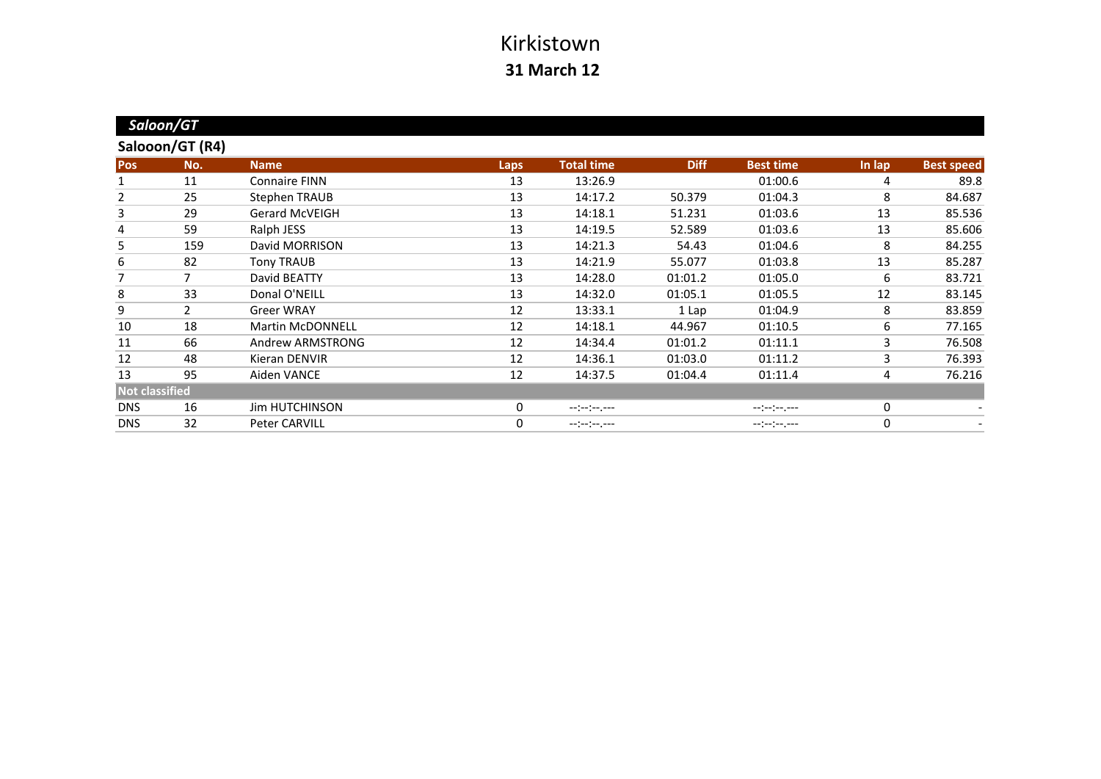|                       | Saloon/GT       |                         |              |                   |             |                  |        |                   |
|-----------------------|-----------------|-------------------------|--------------|-------------------|-------------|------------------|--------|-------------------|
|                       | Salooon/GT (R4) |                         |              |                   |             |                  |        |                   |
| <b>Pos</b>            | No.             | <b>Name</b>             | Laps         | <b>Total time</b> | <b>Diff</b> | <b>Best time</b> | In lap | <b>Best speed</b> |
|                       | 11              | <b>Connaire FINN</b>    | 13           | 13:26.9           |             | 01:00.6          | 4      | 89.8              |
| 2                     | 25              | <b>Stephen TRAUB</b>    | 13           | 14:17.2           | 50.379      | 01:04.3          | 8      | 84.687            |
| 3                     | 29              | <b>Gerard McVEIGH</b>   | 13           | 14:18.1           | 51.231      | 01:03.6          | 13     | 85.536            |
| 4                     | 59              | Ralph JESS              | 13           | 14:19.5           | 52.589      | 01:03.6          | 13     | 85.606            |
| 5                     | 159             | David MORRISON          | 13           | 14:21.3           | 54.43       | 01:04.6          | 8      | 84.255            |
| 6                     | 82              | <b>Tony TRAUB</b>       | 13           | 14:21.9           | 55.077      | 01:03.8          | 13     | 85.287            |
| 7                     | 7               | David BEATTY            | 13           | 14:28.0           | 01:01.2     | 01:05.0          | 6      | 83.721            |
| 8                     | 33              | Donal O'NEILL           | 13           | 14:32.0           | 01:05.1     | 01:05.5          | 12     | 83.145            |
| 9                     | $\mathbf{2}$    | <b>Greer WRAY</b>       | 12           | 13:33.1           | 1 Lap       | 01:04.9          | 8      | 83.859            |
| 10                    | 18              | <b>Martin McDONNELL</b> | 12           | 14:18.1           | 44.967      | 01:10.5          | 6      | 77.165            |
| 11                    | 66              | Andrew ARMSTRONG        | 12           | 14:34.4           | 01:01.2     | 01:11.1          | 3      | 76.508            |
| 12                    | 48              | Kieran DENVIR           | 12           | 14:36.1           | 01:03.0     | 01:11.2          | 3      | 76.393            |
| 13                    | 95              | Aiden VANCE             | 12           | 14:37.5           | 01:04.4     | 01:11.4          | 4      | 76.216            |
| <b>Not classified</b> |                 |                         |              |                   |             |                  |        |                   |
| <b>DNS</b>            | 16              | <b>Jim HUTCHINSON</b>   | $\mathbf{0}$ | --:--:----        |             | --:--:--.--      | 0      |                   |
| <b>DNS</b>            | 32              | Peter CARVILL           | 0            | --:--:--.--       |             | --:-:----        | 0      |                   |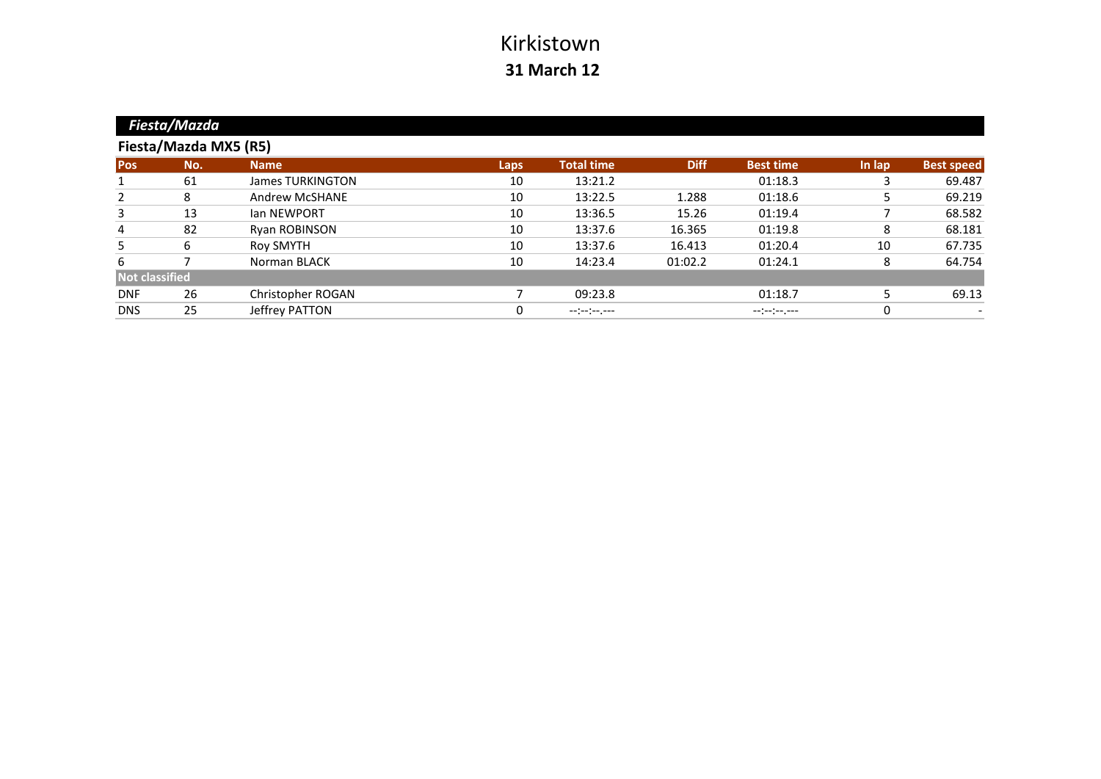|                       | Fiesta/Mazda          |                         |             |                   |             |                  |        |                   |
|-----------------------|-----------------------|-------------------------|-------------|-------------------|-------------|------------------|--------|-------------------|
|                       | Fiesta/Mazda MX5 (R5) |                         |             |                   |             |                  |        |                   |
| <b>Pos</b>            | No.                   | <b>Name</b>             | <b>Laps</b> | <b>Total time</b> | <b>Diff</b> | <b>Best time</b> | In lap | <b>Best speed</b> |
|                       | 61                    | <b>James TURKINGTON</b> | 10          | 13:21.2           |             | 01:18.3          |        | 69.487            |
| 2                     | 8                     | <b>Andrew McSHANE</b>   | 10          | 13:22.5           | 1.288       | 01:18.6          | 5      | 69.219            |
| 3                     | 13                    | <b>Ian NEWPORT</b>      | 10          | 13:36.5           | 15.26       | 01:19.4          |        | 68.582            |
| 4                     | 82                    | <b>Ryan ROBINSON</b>    | 10          | 13:37.6           | 16.365      | 01:19.8          | 8      | 68.181            |
| 5                     | 6                     | Roy SMYTH               | 10          | 13:37.6           | 16.413      | 01:20.4          | 10     | 67.735            |
| 6                     |                       | Norman BLACK            | 10          | 14:23.4           | 01:02.2     | 01:24.1          | 8      | 64.754            |
| <b>Not classified</b> |                       |                         |             |                   |             |                  |        |                   |
| <b>DNF</b>            | 26                    | Christopher ROGAN       |             | 09:23.8           |             | 01:18.7          |        | 69.13             |
| <b>DNS</b>            | 25                    | Jeffrey PATTON          | $\Omega$    | $-1(-1)^{n-1}$    |             | $-(-1)^{n-1}$    | 0      |                   |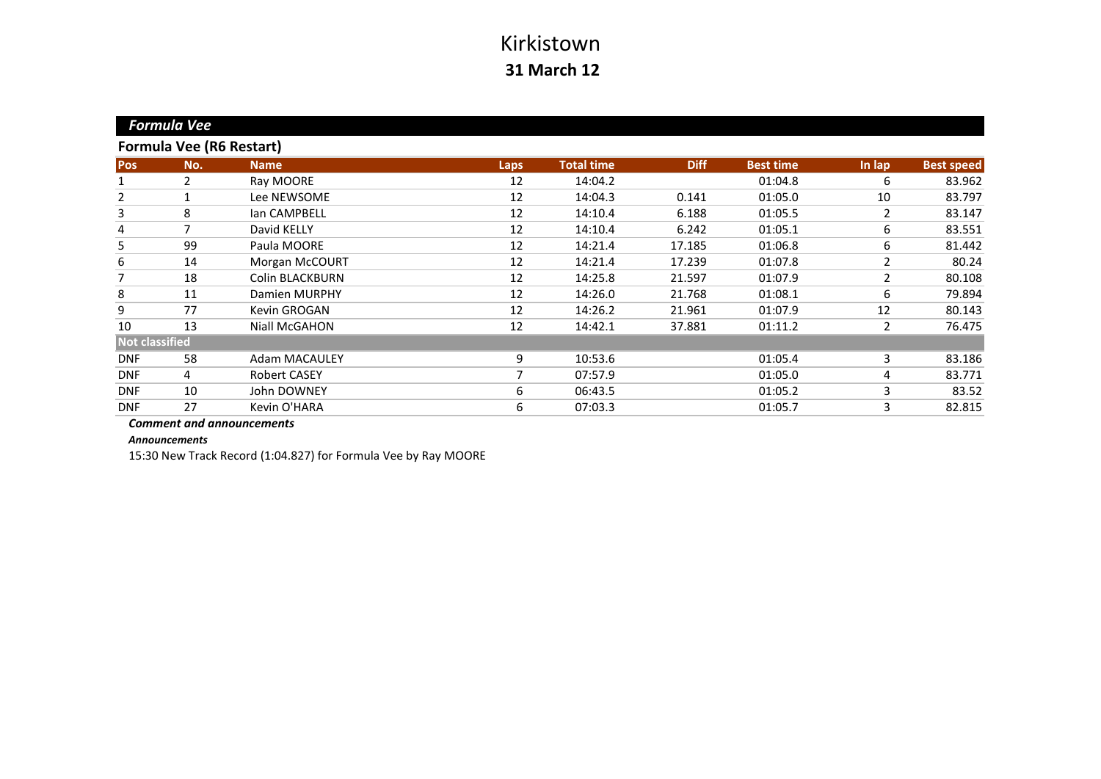|                       | <b>Formula Vee</b> |                                 |             |                   |             |                  |                |                   |
|-----------------------|--------------------|---------------------------------|-------------|-------------------|-------------|------------------|----------------|-------------------|
|                       |                    | <b>Formula Vee (R6 Restart)</b> |             |                   |             |                  |                |                   |
| <b>Pos</b>            | No.                | <b>Name</b>                     | <b>Laps</b> | <b>Total time</b> | <b>Diff</b> | <b>Best time</b> | In lap         | <b>Best speed</b> |
| 1                     | $\overline{2}$     | Ray MOORE                       | 12          | 14:04.2           |             | 01:04.8          | 6              | 83.962            |
| $\overline{2}$        |                    | Lee NEWSOME                     | 12          | 14:04.3           | 0.141       | 01:05.0          | 10             | 83.797            |
| 3                     | 8                  | lan CAMPBELL                    | 12          | 14:10.4           | 6.188       | 01:05.5          | $\overline{2}$ | 83.147            |
| 4                     | 7                  | David KELLY                     | 12          | 14:10.4           | 6.242       | 01:05.1          | 6              | 83.551            |
| 5                     | 99                 | Paula MOORE                     | 12          | 14:21.4           | 17.185      | 01:06.8          | 6              | 81.442            |
| 6                     | 14                 | Morgan McCOURT                  | 12          | 14:21.4           | 17.239      | 01:07.8          | 2              | 80.24             |
| 7                     | 18                 | <b>Colin BLACKBURN</b>          | 12          | 14:25.8           | 21.597      | 01:07.9          | 2              | 80.108            |
| 8                     | 11                 | Damien MURPHY                   | 12          | 14:26.0           | 21.768      | 01:08.1          | 6              | 79.894            |
| 9                     | 77                 | Kevin GROGAN                    | 12          | 14:26.2           | 21.961      | 01:07.9          | 12             | 80.143            |
| 10                    | 13                 | Niall McGAHON                   | 12          | 14:42.1           | 37.881      | 01:11.2          | 2              | 76.475            |
| <b>Not classified</b> |                    |                                 |             |                   |             |                  |                |                   |
| <b>DNF</b>            | 58                 | <b>Adam MACAULEY</b>            | 9           | 10:53.6           |             | 01:05.4          | 3              | 83.186            |
| <b>DNF</b>            | 4                  | Robert CASEY                    |             | 07:57.9           |             | 01:05.0          | 4              | 83.771            |
| <b>DNF</b>            | 10                 | John DOWNEY                     | 6           | 06:43.5           |             | 01:05.2          | 3              | 83.52             |
| <b>DNF</b>            | 27                 | Kevin O'HARA                    | 6           | 07:03.3           |             | 01:05.7          | 3              | 82.815            |

*Comment and announcements*

*Announcements*

15:30 New Track Record (1:04.827) for Formula Vee by Ray MOORE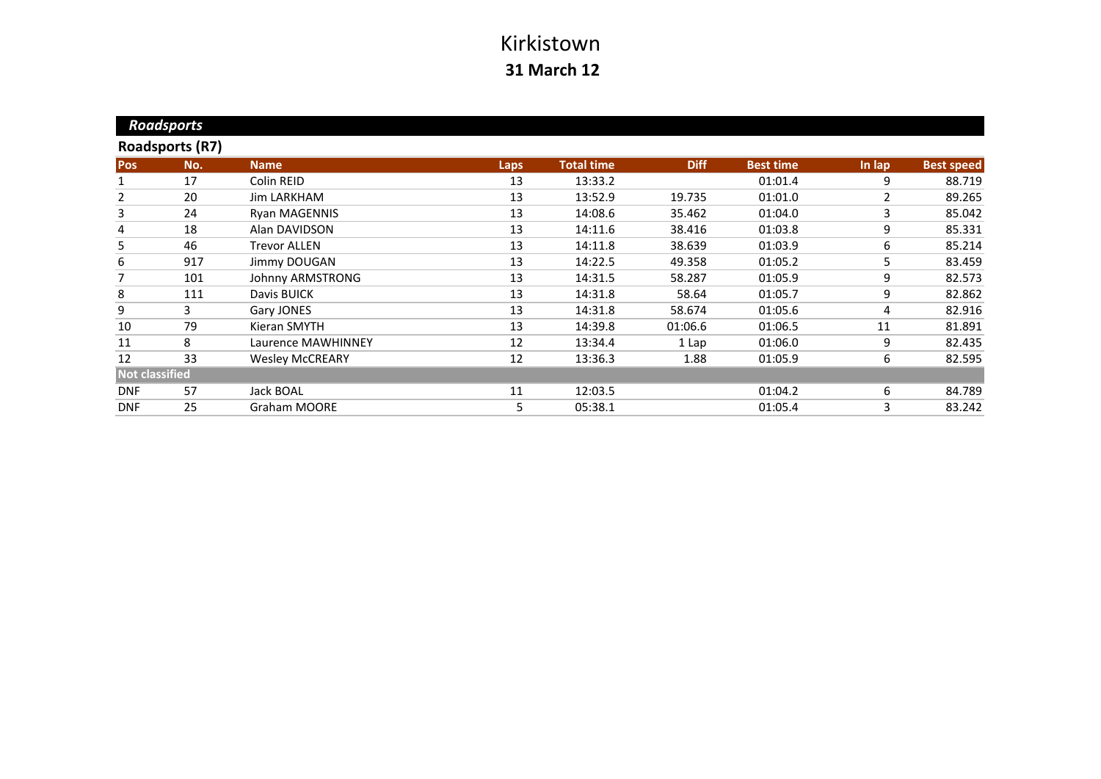| <b>Roadsports</b>      |     |                        |      |                   |             |                  |        |                   |
|------------------------|-----|------------------------|------|-------------------|-------------|------------------|--------|-------------------|
| <b>Roadsports (R7)</b> |     |                        |      |                   |             |                  |        |                   |
| <b>Pos</b>             | No. | <b>Name</b>            | Laps | <b>Total time</b> | <b>Diff</b> | <b>Best time</b> | In lap | <b>Best speed</b> |
|                        | 17  | Colin REID             | 13   | 13:33.2           |             | 01:01.4          | 9      | 88.719            |
| $\overline{2}$         | 20  | <b>Jim LARKHAM</b>     | 13   | 13:52.9           | 19.735      | 01:01.0          | 2      | 89.265            |
| 3                      | 24  | <b>Ryan MAGENNIS</b>   | 13   | 14:08.6           | 35.462      | 01:04.0          | 3      | 85.042            |
| 4                      | 18  | Alan DAVIDSON          | 13   | 14:11.6           | 38.416      | 01:03.8          | 9      | 85.331            |
| 5                      | 46  | <b>Trevor ALLEN</b>    | 13   | 14:11.8           | 38.639      | 01:03.9          | 6      | 85.214            |
| 6                      | 917 | Jimmy DOUGAN           | 13   | 14:22.5           | 49.358      | 01:05.2          | 5      | 83.459            |
| 7                      | 101 | Johnny ARMSTRONG       | 13   | 14:31.5           | 58.287      | 01:05.9          | 9      | 82.573            |
| 8                      | 111 | Davis BUICK            | 13   | 14:31.8           | 58.64       | 01:05.7          | 9      | 82.862            |
| 9                      | 3   | Gary JONES             | 13   | 14:31.8           | 58.674      | 01:05.6          | 4      | 82.916            |
| 10                     | 79  | Kieran SMYTH           | 13   | 14:39.8           | 01:06.6     | 01:06.5          | 11     | 81.891            |
| 11                     | 8   | Laurence MAWHINNEY     | 12   | 13:34.4           | 1 Lap       | 01:06.0          | 9      | 82.435            |
| 12                     | 33  | <b>Wesley McCREARY</b> | 12   | 13:36.3           | 1.88        | 01:05.9          | 6      | 82.595            |
| <b>Not classified</b>  |     |                        |      |                   |             |                  |        |                   |
| <b>DNF</b>             | 57  | Jack BOAL              | 11   | 12:03.5           |             | 01:04.2          | 6      | 84.789            |
| <b>DNF</b>             | 25  | <b>Graham MOORE</b>    | 5.   | 05:38.1           |             | 01:05.4          | 3      | 83.242            |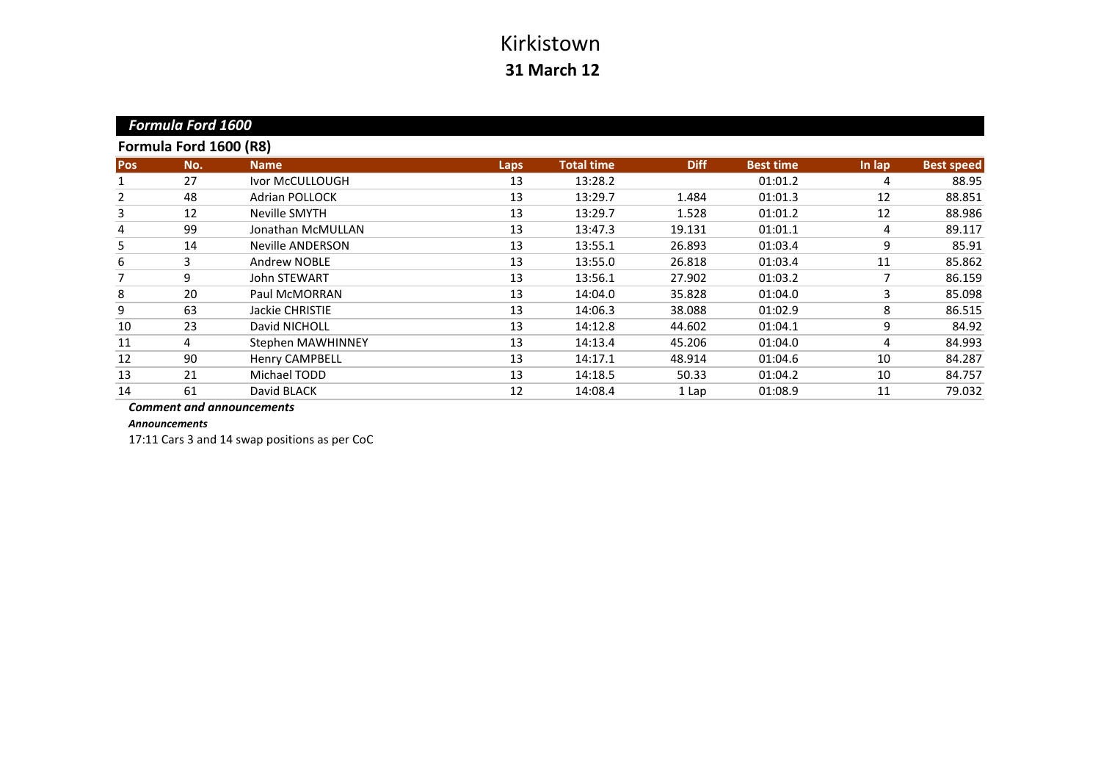| <b>Formula Ford 1600</b><br>Formula Ford 1600 (R8) |    |                       |    |         |        |         |    |        |
|----------------------------------------------------|----|-----------------------|----|---------|--------|---------|----|--------|
|                                                    |    |                       |    |         |        |         |    |        |
|                                                    | 27 | Ivor McCULLOUGH       | 13 | 13:28.2 |        | 01:01.2 | 4  | 88.95  |
| 2                                                  | 48 | <b>Adrian POLLOCK</b> | 13 | 13:29.7 | 1.484  | 01:01.3 | 12 | 88.851 |
| 3                                                  | 12 | Neville SMYTH         | 13 | 13:29.7 | 1.528  | 01:01.2 | 12 | 88.986 |
| 4                                                  | 99 | Jonathan McMULLAN     | 13 | 13:47.3 | 19.131 | 01:01.1 | 4  | 89.117 |
| 5                                                  | 14 | Neville ANDERSON      | 13 | 13:55.1 | 26.893 | 01:03.4 | 9  | 85.91  |
| 6                                                  | 3  | Andrew NOBLE          | 13 | 13:55.0 | 26.818 | 01:03.4 | 11 | 85.862 |
| 7                                                  | 9  | <b>John STEWART</b>   | 13 | 13:56.1 | 27.902 | 01:03.2 | 7  | 86.159 |
| 8                                                  | 20 | Paul McMORRAN         | 13 | 14:04.0 | 35.828 | 01:04.0 | 3  | 85.098 |
| 9                                                  | 63 | Jackie CHRISTIE       | 13 | 14:06.3 | 38.088 | 01:02.9 | 8  | 86.515 |
| 10                                                 | 23 | David NICHOLL         | 13 | 14:12.8 | 44.602 | 01:04.1 | 9  | 84.92  |
| 11                                                 | 4  | Stephen MAWHINNEY     | 13 | 14:13.4 | 45.206 | 01:04.0 | 4  | 84.993 |
| 12                                                 | 90 | <b>Henry CAMPBELL</b> | 13 | 14:17.1 | 48.914 | 01:04.6 | 10 | 84.287 |
| 13                                                 | 21 | Michael TODD          | 13 | 14:18.5 | 50.33  | 01:04.2 | 10 | 84.757 |
| 14                                                 | 61 | David BLACK           | 12 | 14:08.4 | 1 Lap  | 01:08.9 | 11 | 79.032 |
|                                                    |    |                       |    |         |        |         |    |        |

*Comment and announcements*

*Announcements*

17:11 Cars 3 and 14 swap positions as per CoC